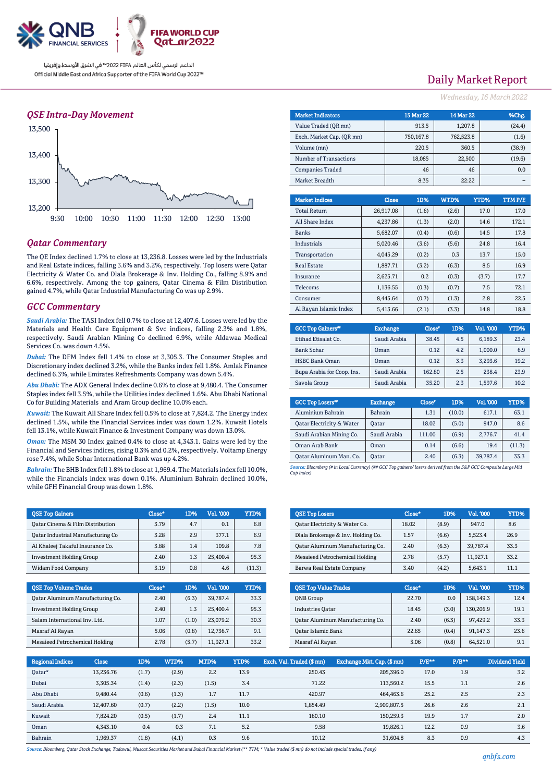

### *QSE Intra-Day Movement*



## *Qatar Commentary*

The QE Index declined 1.7% to close at 13,236.8. Losses were led by the Industrials and Real Estate indices, falling 3.6% and 3.2%, respectively. Top losers were Qatar Electricity & Water Co. and Dlala Brokerage & Inv. Holding Co., falling 8.9% and 6.6%, respectively. Among the top gainers, Qatar Cinema & Film Distribution gained 4.7%, while Qatar Industrial Manufacturing Co was up 2.9%.

### *GCC Commentary*

*Saudi Arabia:* The TASI Index fell 0.7% to close at 12,407.6. Losses were led by the Materials and Health Care Equipment & Svc indices, falling 2.3% and 1.8%, respectively. Saudi Arabian Mining Co declined 6.9%, while Aldawaa Medical Services Co. was down 4.5%.

*Dubai:* The DFM Index fell 1.4% to close at 3,305.3. The Consumer Staples and Discretionary index declined 3.2%, while the Banks index fell 1.8%. Amlak Finance declined 6.3%, while Emirates Refreshments Company was down 5.4%.

*Abu Dhabi:* The ADX General Index decline 0.6% to close at 9,480.4. The Consumer Staples index fell 3.5%, while the Utilities index declined 1.6%. Abu Dhabi National Co for Building Materials and Aram Group decline 10.0% each.

*Kuwait:* The Kuwait All Share Index fell 0.5% to close at 7,824.2. The Energy index declined 1.5%, while the Financial Services index was down 1.2%. Kuwait Hotels fell 13.1%, while Kuwait Finance & Investment Company was down 13.0%.

*Oman:* The MSM 30 Index gained 0.4% to close at 4,343.1. Gains were led by the Financial and Services indices, rising 0.3% and 0.2%, respectively. Voltamp Energy rose 7.4%, while Sohar International Bank was up 4.2%.

*Bahrain:* The BHB Index fell 1.8% to close at 1,969.4. The Materials index fell 10.0%, while the Financials index was down 0.1%. Aluminium Bahrain declined 10.0%, while GFH Financial Group was down 1.8%.

| <b>OSE Top Gainers</b>                   | Close* | 1D% | Vol. '000 | <b>YTD%</b> |
|------------------------------------------|--------|-----|-----------|-------------|
| Oatar Cinema & Film Distribution         | 3.79   | 4.7 | 0.1       | 6.8         |
| <b>Qatar Industrial Manufacturing Co</b> | 3.28   | 2.9 | 377.1     | 6.9         |
| Al Khaleej Takaful Insurance Co.         | 3.88   | 1.4 | 109.8     | 7.8         |
| <b>Investment Holding Group</b>          | 2.40   | 1.3 | 25.400.4  | 95.3        |
| <b>Widam Food Company</b>                | 3.19   | 0.8 | 4.6       | (11.3)      |

| <b>OSE Top Volume Trades</b>     | Close* | <b>1D%</b> | <b>Vol. '000</b> | YTD% |
|----------------------------------|--------|------------|------------------|------|
| Oatar Aluminum Manufacturing Co. | 2.40   | (6.3)      | 39.787.4         | 33.3 |
| <b>Investment Holding Group</b>  | 2.40   | 1.3        | 25.400.4         | 95.3 |
| Salam International Inv. Ltd.    | 1.07   | (1.0)      | 23.079.2         | 30.3 |
| Masraf Al Rayan                  | 5.06   | (0.8)      | 12,736.7         | 9.1  |
| Mesaieed Petrochemical Holding   | 2.78   | (5.7)      | 11.927.1         | 33.2 |

# Daily Market Report

*Wednesday, 16 March2022*

| <b>Market Indicators</b>  | <b>15 Mar 22</b> | <b>14 Mar 22</b> | %Chg.  |
|---------------------------|------------------|------------------|--------|
| Value Traded (OR mn)      | 913.5            | 1,207.8          | (24.4) |
| Exch. Market Cap. (OR mn) | 750,167.8        | 762,523.8        | (1.6)  |
| Volume (mn)               | 220.5            | 360.5            | (38.9) |
| Number of Transactions    | 18.085           | 22,500           | (19.6) |
| <b>Companies Traded</b>   | 46               | 46               | 0.0    |
| Market Breadth            | 8:35             | 22:22            |        |

| <b>Market Indices</b>  | <b>Close</b> | 1D%   | WTD%  | YTD%  | <b>TTMP/E</b> |
|------------------------|--------------|-------|-------|-------|---------------|
| <b>Total Return</b>    | 26,917.08    | (1.6) | (2.6) | 17.0  | 17.0          |
| All Share Index        | 4.237.86     | (1.3) | (2.0) | 14.6  | 172.1         |
| <b>Banks</b>           | 5,682.07     | (0.4) | (0.6) | 14.5  | 17.8          |
| <b>Industrials</b>     | 5,020.46     | (3.6) | (5.6) | 24.8  | 16.4          |
| Transportation         | 4.045.29     | (0.2) | 0.3   | 13.7  | 15.0          |
| <b>Real Estate</b>     | 1,887.71     | (3.2) | (6.3) | 8.5   | 16.9          |
| Insurance              | 2.625.71     | 0.2   | (0.3) | (3.7) | 17.7          |
| Telecoms               | 1,136.55     | (0.3) | (0.7) | 7.5   | 72.1          |
| Consumer               | 8,445.64     | (0.7) | (1.3) | 2.8   | 22.5          |
| Al Ravan Islamic Index | 5.413.66     | (2.1) | (3.3) | 14.8  | 18.8          |

| <b>GCC Top Gainers</b> "   | <b>Exchange</b> | Close* | 1D% | Vol. '000 | YTD% |
|----------------------------|-----------------|--------|-----|-----------|------|
| Etihad Etisalat Co.        | Saudi Arabia    | 38.45  | 4.5 | 6.189.3   | 23.4 |
| <b>Bank Sohar</b>          | Oman            | 0.12   | 4.2 | 1,000.0   | 6.9  |
| <b>HSBC Bank Oman</b>      | Oman            | 0.12   | 3.3 | 3.293.6   | 19.2 |
| Bupa Arabia for Coop. Ins. | Saudi Arabia    | 162.80 | 2.5 | 238.4     | 23.9 |
| Savola Group               | Saudi Arabia    | 35.20  | 2.3 | 1.597.6   | 10.2 |

| <b>GCC Top Losers</b> "   | <b>Exchange</b> | Close* | 1D%    | <b>Vol.'000</b> | YTD%   |
|---------------------------|-----------------|--------|--------|-----------------|--------|
| Aluminium Bahrain         | <b>Bahrain</b>  | 1.31   | (10.0) | 617.1           | 63.1   |
| Oatar Electricity & Water | <b>Oatar</b>    | 18.02  | (5.0)  | 947.0           | 8.6    |
| Saudi Arabian Mining Co.  | Saudi Arabia    | 111.00 | (6.9)  | 2,776.7         | 41.4   |
| Oman Arab Bank            | Oman            | 0.14   | (6.6)  | 19.4            | (11.3) |
| Qatar Aluminum Man. Co.   | <b>Qatar</b>    | 2.40   | (6.3)  | 39,787.4        | 33.3   |

*Source: Bloomberg (# in Local Currency) (## GCC Top gainers/ losers derived from the S&P GCC Composite Large Mid Cap Index)*

| <b>QSE Top Losers</b>              | Close* | 1D%   | Vol. '000 | YTD% |
|------------------------------------|--------|-------|-----------|------|
| Oatar Electricity & Water Co.      | 18.02  | (8.9) | 947.0     | 8.6  |
| Dlala Brokerage & Inv. Holding Co. | 1.57   | (6.6) | 5.523.4   | 26.9 |
| Qatar Aluminum Manufacturing Co.   | 2.40   | (6.3) | 39,787.4  | 33.3 |
| Mesaieed Petrochemical Holding     | 2.78   | (5.7) | 11.927.1  | 33.2 |
| Barwa Real Estate Company          | 3.40   | (4.2) | 5.643.1   | 11.1 |

| <b>OSE Top Value Trades</b>      | Close* | 1D%   | Val. '000 | YTD% |
|----------------------------------|--------|-------|-----------|------|
| <b>ONB</b> Group                 | 22.70  | 0.0   | 158.149.3 | 12.4 |
| <b>Industries Oatar</b>          | 18.45  | (3.0) | 130,206.9 | 19.1 |
| Oatar Aluminum Manufacturing Co. | 2.40   | (6.3) | 97.429.2  | 33.3 |
| Oatar Islamic Bank               | 22.65  | (0.4) | 91.147.3  | 23.6 |
| Masraf Al Rayan                  | 5.06   | (0.8) | 64.521.0  | 9.1  |

| Regional Indices | <b>Close</b> | 1D%   | WTD%  | MTD%  | YTD% | Exch. Val. Traded (\$mn) | Exchange Mkt. Cap. (\$mn) | $P/E***$ | $P/B**$ | Dividend Yield |
|------------------|--------------|-------|-------|-------|------|--------------------------|---------------------------|----------|---------|----------------|
| Qatar*           | 13,236.76    | (1.7) | (2.9) | 2.2   | 13.9 | 250.43                   | 205,396.0                 | 17.0     | 1.9     | 3.2            |
| Dubai            | 3.305.34     | (1.4) | (2.3) | (1.5) | 3.4  | 71.22                    | 113,560.2                 | 15.5     | 1.1     | 2.6            |
| Abu Dhabi        | 9.480.44     | (0.6) | (1.3) | 1.7   | 11.7 | 420.97                   | 464,463.6                 | 25.2     | 2.5     | 2.3            |
| Saudi Arabia     | 12,407.60    | (0.7) | (2.2) | (1.5) | 10.0 | 1.854.49                 | 2,909,807.5               | 26.6     | 2.6     | 2.1            |
| Kuwait           | 7.824.20     | (0.5) | (1.7) | 2.4   | 11.1 | 160.10                   | 150.259.3                 | 19.9     | 1.7     | 2.0            |
| Oman             | 4.343.10     | 0.4   | 0.3   | 7.1   | 5.2  | 9.58                     | 19.826.1                  | 12.2     | 0.9     | 3.6            |
| Bahrain          | 1.969.37     | (1.8) | (4.1) | 0.3   | 9.6  | 10.12                    | 31.604.8                  | 8.3      | 0.9     | 4.3            |

*Source: Bloomberg, Qatar Stock Exchange, Tadawul, Muscat Securities Market and Dubai Financial Market (\*\* TTM; \* Value traded (\$ mn) do not include special trades, if any)*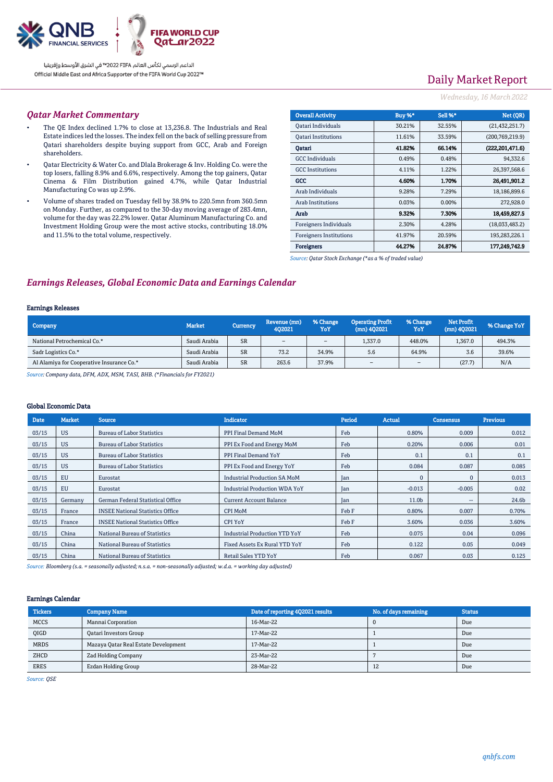

# Daily Market Report

### *Wednesday, 16 March2022*

### *Qatar Market Commentary*

- The QE Index declined 1.7% to close at 13,236.8. The Industrials and Real Estate indices led the losses. The index fell on the back of selling pressure from Qatari shareholders despite buying support from GCC, Arab and Foreign shareholders.
- Qatar Electricity & Water Co. and Dlala Brokerage & Inv. Holding Co. were the top losers, falling 8.9% and 6.6%, respectively. Among the top gainers, Qatar Cinema & Film Distribution gained 4.7%, while Qatar Industrial Manufacturing Co was up 2.9%.
- Volume of shares traded on Tuesday fell by 38.9% to 220.5mn from 360.5mn on Monday. Further, as compared to the 30-day moving average of 283.4mn, volume for the day was 22.2% lower. Qatar Aluminum Manufacturing Co. and Investment Holding Group were the most active stocks, contributing 18.0% and 11.5% to the total volume, respectively.

| <b>Overall Activity</b>        | Buy %* | Sell %* | Net (QR)          |
|--------------------------------|--------|---------|-------------------|
| Qatari Individuals             | 30.21% | 32.55%  | (21, 432, 251.7)  |
| <b>Oatari Institutions</b>     | 11.61% | 33.59%  | (200, 769, 219.9) |
| Oatari                         | 41.82% | 66.14%  | (222.201.471.6)   |
| <b>GCC</b> Individuals         | 0.49%  | 0.48%   | 94,332.6          |
| <b>GCC</b> Institutions        | 4.11%  | 1.22%   | 26,397,568.6      |
| GCC                            | 4.60%  | 1.70%   | 26.491.901.2      |
| Arab Individuals               | 9.28%  | 7.29%   | 18,186,899.6      |
| <b>Arab Institutions</b>       | 0.03%  | 0.00%   | 272,928.0         |
| Arab                           | 9.32%  | 7.30%   | 18,459,827.5      |
| Foreigners Individuals         | 2.30%  | 4.28%   | (18,033,483.2)    |
| <b>Foreigners Institutions</b> | 41.97% | 20.59%  | 195,283,226.1     |
| <b>Foreigners</b>              | 44.27% | 24.87%  | 177,249,742.9     |

*Source: Qatar Stock Exchange (\*as a % of traded value)*

## *Earnings Releases, Global Economic Data and Earnings Calendar*

### Earnings Releases

| Company                                   | <b>Market</b> | Currency  | Revenue (mn)<br>402021   | % Change<br>YoY          | <b>Operating Profit</b><br>$(mn)$ 402021 | % Change<br>YoY          | <b>Net Profit</b><br>$(mn)$ 402021 | % Change YoY |
|-------------------------------------------|---------------|-----------|--------------------------|--------------------------|------------------------------------------|--------------------------|------------------------------------|--------------|
| National Petrochemical Co.*               | Saudi Arabia  | <b>SR</b> | $\overline{\phantom{a}}$ | $\overline{\phantom{0}}$ | 1.337.0                                  | 448.0%                   | 1.367.0                            | 494.3%       |
| Sadr Logistics Co.*                       | Saudi Arabia  | <b>SR</b> | 73.2                     | 34.9%                    | 5.6                                      | 64.9%                    | 3.6                                | 39.6%        |
| Al Alamiya for Cooperative Insurance Co.* | Saudi Arabia  | <b>SR</b> | 263.6                    | 37.9%                    | $\overline{\phantom{a}}$                 | $\overline{\phantom{a}}$ | (27.7)                             | N/A          |

*Source: Company data, DFM, ADX, MSM, TASI, BHB. (\*Financials for FY2021)*

#### Global Economic Data

| Date  | <b>Market</b> | <b>Source</b>                           | Indicator                            | Period     | <b>Actual</b> | Consensus                | <b>Previous</b> |
|-------|---------------|-----------------------------------------|--------------------------------------|------------|---------------|--------------------------|-----------------|
| 03/15 | <b>US</b>     | <b>Bureau of Labor Statistics</b>       | PPI Final Demand MoM                 | Feb        | 0.80%         | 0.009                    | 0.012           |
| 03/15 | <b>US</b>     | <b>Bureau of Labor Statistics</b>       | PPI Ex Food and Energy MoM           | Feb        | 0.20%         | 0.006                    | 0.01            |
| 03/15 | <b>US</b>     | <b>Bureau of Labor Statistics</b>       | PPI Final Demand YoY                 | Feb        | 0.1           | 0.1                      | 0.1             |
| 03/15 | <b>US</b>     | <b>Bureau of Labor Statistics</b>       | PPI Ex Food and Energy YoY           | Feb        | 0.084         | 0.087                    | 0.085           |
| 03/15 | EU            | Eurostat                                | <b>Industrial Production SA MoM</b>  | Jan        | $\Omega$      | $\mathbf{0}$             | 0.013           |
| 03/15 | EU            | Eurostat                                | <b>Industrial Production WDA YoY</b> | Jan        | $-0.013$      | $-0.005$                 | 0.02            |
| 03/15 | Germany       | German Federal Statistical Office       | <b>Current Account Balance</b>       | <b>Ian</b> | 11.0b         | $\overline{\phantom{m}}$ | 24.6b           |
| 03/15 | France        | <b>INSEE National Statistics Office</b> | CPI MoM                              | Feb F      | 0.80%         | 0.007                    | 0.70%           |
| 03/15 | France        | <b>INSEE National Statistics Office</b> | CPI YoY                              | Feb F      | 3.60%         | 0.036                    | 3.60%           |
| 03/15 | China         | National Bureau of Statistics           | <b>Industrial Production YTD YoY</b> | Feb        | 0.075         | 0.04                     | 0.096           |
| 03/15 | China         | National Bureau of Statistics           | Fixed Assets Ex Rural YTD YoY        | Feb        | 0.122         | 0.05                     | 0.049           |
| 03/15 | China         | National Bureau of Statistics           | Retail Sales YTD YoY                 | Feb        | 0.067         | 0.03                     | 0.125           |

*Source: Bloomberg (s.a. = seasonally adjusted; n.s.a. = non-seasonally adjusted; w.d.a. = working day adjusted)*

#### Earnings Calendar

| <b>Tickers</b> | <b>Company Name</b>                  | Date of reporting 4Q2021 results | No. of days remaining | <b>Status</b> |
|----------------|--------------------------------------|----------------------------------|-----------------------|---------------|
| <b>MCCS</b>    | Mannai Corporation                   | 16-Mar-22                        |                       | Due           |
| <b>OIGD</b>    | <b>Qatari Investors Group</b>        | 17-Mar-22                        |                       | Due           |
| <b>MRDS</b>    | Mazaya Qatar Real Estate Development | 17-Mar-22                        |                       | Due           |
| ZHCD           | Zad Holding Company                  | 23-Mar-22                        |                       | Due           |
| <b>ERES</b>    | Ezdan Holding Group                  | 28-Mar-22                        | 14                    | Due           |

*Source: QSE*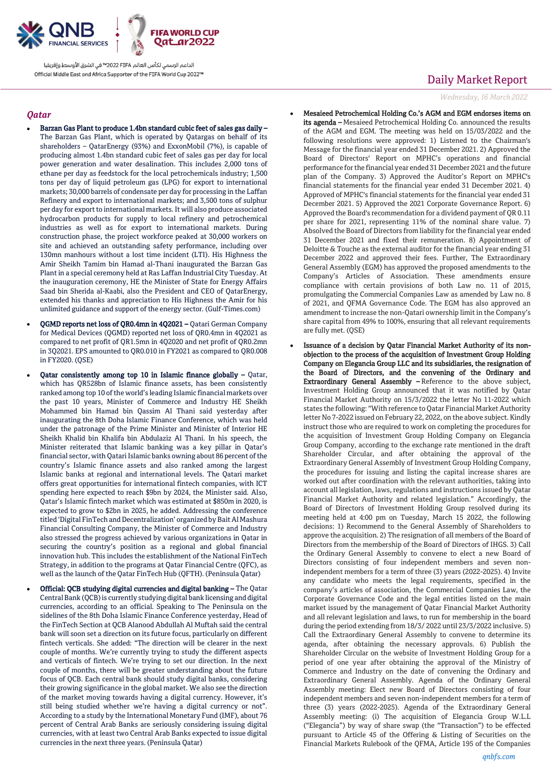

### *Qatar*

- Barzan Gas Plant to produce 1.4bn standard cubic feet of sales gas daily The Barzan Gas Plant, which is operated by Qatargas on behalf of its shareholders – QatarEnergy (93%) and ExxonMobil (7%), is capable of producing almost 1.4bn standard cubic feet of sales gas per day for local power generation and water desalination. This includes 2,000 tons of ethane per day as feedstock for the local petrochemicals industry; 1,500 tons per day of liquid petroleum gas (LPG) for export to international markets; 30,000 barrels of condensate per day for processing in the Laffan Refinery and export to international markets; and 3,500 tons of sulphur per day for export to international markets. It will also produce associated hydrocarbon products for supply to local refinery and petrochemical industries as well as for export to international markets. During construction phase, the project workforce peaked at 30,000 workers on site and achieved an outstanding safety performance, including over 130mn manhours without a lost time incident (LTI). His Highness the Amir Sheikh Tamim bin Hamad al-Thani inaugurated the Barzan Gas Plant in a special ceremony held at Ras Laffan Industrial City Tuesday. At the inauguration ceremony, HE the Minister of State for Energy Affairs Saad bin Sherida al-Kaabi, also the President and CEO of QatarEnergy, extended his thanks and appreciation to His Highness the Amir for his unlimited guidance and support of the energy sector. (Gulf-Times.com)
- QGMD reports net loss of QR0.4mn in 4Q2021 Qatari German Company for Medical Devices (QGMD) reported net loss of QR0.4mn in 4Q2021 as compared to net profit of QR1.5mn in 4Q2020 and net profit of QR0.2mn in 3Q2021. EPS amounted to QR0.010 in FY2021 as compared to QR0.008 in FY2020. (QSE)
- Qatar consistently among top 10 in Islamic finance globally Qatar, which has QR528bn of Islamic finance assets, has been consistently ranked among top 10 of the world's leading Islamic financial markets over the past 10 years, Minister of Commerce and Industry HE Sheikh Mohammed bin Hamad bin Qassim Al Thani said yesterday after inaugurating the 8th Doha Islamic Finance Conference, which was held under the patronage of the Prime Minister and Minister of Interior HE Sheikh Khalid bin Khalifa bin Abdulaziz Al Thani. In his speech, the Minister reiterated that Islamic banking was a key pillar in Qatar's financial sector, with Qatari Islamic banks owning about 86 percent of the country's Islamic finance assets and also ranked among the largest Islamic banks at regional and international levels. The Qatari market offers great opportunities for international fintech companies, with ICT spending here expected to reach \$9bn by 2024, the Minister said. Also, Qatar's Islamic fintech market which was estimated at \$850m in 2020, is expected to grow to \$2bn in 2025, he added. Addressing the conference titled 'Digital FinTech and Decentralization' organized by Bait Al Mashura Financial Consulting Company, the Minister of Commerce and Industry also stressed the progress achieved by various organizations in Qatar in securing the country's position as a regional and global financial innovation hub. This includes the establishment of the National FinTech Strategy, in addition to the programs at Qatar Financial Centre (QFC), as well as the launch of the Qatar FinTech Hub (QFTH). (Peninsula Qatar)
	- Official: QCB studying digital currencies and digital banking The Qatar Central Bank (QCB) is currently studying digital bank licensing and digital currencies, according to an official. Speaking to The Peninsula on the sidelines of the 8th Doha Islamic Finance Conference yesterday, Head of the FinTech Section at QCB Alanood Abdullah Al Muftah said the central bank will soon set a direction on its future focus, particularly on different fintech verticals. She added: "The direction will be clearer in the next couple of months. We're currently trying to study the different aspects and verticals of fintech. We're trying to set our direction. In the next couple of months, there will be greater understanding about the future focus of QCB. Each central bank should study digital banks, considering their growing significance in the global market. We also see the direction of the market moving towards having a digital currency. However, it's still being studied whether we're having a digital currency or not". According to a study by the International Monetary Fund (IMF), about 76 percent of Central Arab Banks are seriously considering issuing digital currencies, with at least two Central Arab Banks expected to issue digital currencies in the next three years. (Peninsula Qatar)

# Daily Market Report

*Wednesday, 16 March2022*

- Mesaieed Petrochemical Holding Co.'s AGM and EGM endorses items on its agenda - Mesaieed Petrochemical Holding Co. announced the results of the AGM and EGM. The meeting was held on 15/03/2022 and the following resolutions were approved: 1) Listened to the Chairman's Message for the financial year ended 31 December 2021. 2) Approved the Board of Directors' Report on MPHC's operations and financial performance for the financial year ended 31 December 2021 and the future plan of the Company. 3) Approved the Auditor's Report on MPHC's financial statements for the financial year ended 31 December 2021. 4) Approved of MPHC's financial statements for the financial year ended 31 December 2021. 5) Approved the 2021 Corporate Governance Report. 6) Approved the Board's recommendation for a dividend payment of QR 0.11 per share for 2021, representing 11% of the nominal share value. 7) Absolved the Board of Directors from liability for the financial year ended 31 December 2021 and fixed their remuneration. 8) Appointment of Deloitte & Touche as the external auditor for the financial year ending 31 December 2022 and approved their fees. Further, The Extraordinary General Assembly (EGM) has approved the proposed amendments to the Company's Articles of Association. These amendments ensure compliance with certain provisions of both Law no. 11 of 2015, promulgating the Commercial Companies Law as amended by Law no. 8 of 2021, and QFMA Governance Code. The EGM has also approved an amendment to increase the non-Qatari ownership limit in the Company's share capital from 49% to 100%, ensuring that all relevant requirements are fully met. (QSE)
- Issuance of a decision by Qatar Financial Market Authority of its nonobjection to the process of the acquisition of Investment Group Holding Company on Elegancia Group LLC and its subsidiaries, the resignation of the Board of Directors, and the convening of the Ordinary and Extraordinary General Assembly – Reference to the above subject, Investment Holding Group announced that it was notified by Qatar Financial Market Authority on 15/3/2022 the letter No 11-2022 which states the following: "With reference to Qatar Financial Market Authority letter No 7-2022 issued on February 22, 2022, on the above subject. Kindly instruct those who are required to work on completing the procedures for the acquisition of Investment Group Holding Company on Elegancia Group Company, according to the exchange rate mentioned in the draft Shareholder Circular, and after obtaining the approval of the Extraordinary General Assembly of Investment Group Holding Company, the procedures for issuing and listing the capital increase shares are worked out after coordination with the relevant authorities, taking into account all legislation, laws, regulations and instructions issued by Qatar Financial Market Authority and related legislation." Accordingly, the Board of Directors of Investment Holding Group resolved during its meeting held at 4:00 pm on Tuesday, March 15 2022, the following decisions: 1) Recommend to the General Assembly of Shareholders to approve the acquisition. 2) The resignation of all members of the Board of Directors from the membership of the Board of Directors of IHGS. 3) Call the Ordinary General Assembly to convene to elect a new Board of Directors consisting of four independent members and seven nonindependent members for a term of three (3) years (2022-2025). 4) Invite any candidate who meets the legal requirements, specified in the company's articles of association, the Commercial Companies Law, the Corporate Governance Code and the legal entities listed on the main market issued by the management of Qatar Financial Market Authority and all relevant legislation and laws, to run for membership in the board during the period extending from 18/3/ 2022 until 23/3/2022 inclusive. 5) Call the Extraordinary General Assembly to convene to determine its agenda, after obtaining the necessary approvals. 6) Publish the Shareholder Circular on the website of Investment Holding Group for a period of one year after obtaining the approval of the Ministry of Commerce and Industry on the date of convening the Ordinary and Extraordinary General Assembly. Agenda of the Ordinary General Assembly meeting: Elect new Board of Directors consisting of four independent members and seven non-independent members for a term of three (3) years (2022-2025). Agenda of the Extraordinary General Assembly meeting: (i) The acquisition of Elegancia Group W.L.L ("Elegancia") by way of share swap (the "Transaction") to be effected pursuant to Article 45 of the Offering & Listing of Securities on the Financial Markets Rulebook of the QFMA, Article 195 of the Companies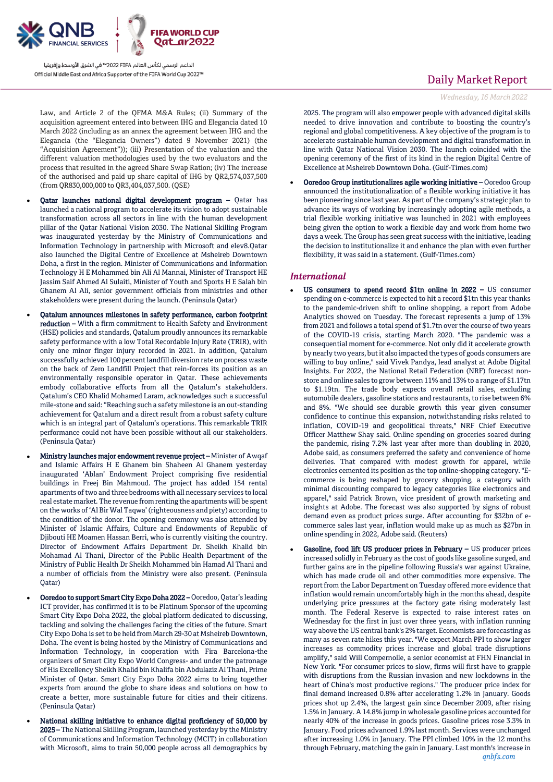

Law, and Article 2 of the QFMA M&A Rules; (ii) Summary of the acquisition agreement entered into between IHG and Elegancia dated 10 March 2022 (including as an annex the agreement between IHG and the Elegancia (the "Elegancia Owners") dated 9 November 2021) (the "Acquisition Agreement")); (iii) Presentation of the valuation and the different valuation methodologies used by the two evaluators and the process that resulted in the agreed Share Swap Ration; (iv) The increase of the authorised and paid up share capital of IHG by QR2,574,037,500 (from QR830,000,000 to QR3,404,037,500. (QSE)

- Qatar launches national digital development program Qatar has launched a national program to accelerate its vision to adopt sustainable transformation across all sectors in line with the human development pillar of the Qatar National Vision 2030. The National Skilling Program was inaugurated yesterday by the Ministry of Communications and Information Technology in partnership with Microsoft and elev8.Qatar also launched the Digital Centre of Excellence at Msheireb Downtown Doha, a first in the region. Minister of Communications and Information Technology H E Mohammed bin Ali Al Mannai, Minister of Transport HE Jassim Saif Ahmed Al Sulaiti, Minister of Youth and Sports H E Salah bin Ghanem Al Ali, senior government officials from ministries and other stakeholders were present during the launch. (Peninsula Qatar)
- Qatalum announces milestones in safety performance, carbon footprint reduction – With a firm commitment to Health Safety and Environment (HSE) policies and standards, Qatalum proudly announces its remarkable safety performance with a low Total Recordable Injury Rate (TRIR), with only one minor finger injury recorded in 2021. In addition, Qatalum successfully achieved 100 percent landfill diversion rate on process waste on the back of Zero Landfill Project that rein-forces its position as an environmentally responsible operator in Qatar. These achievements embody collaborative efforts from all the Qatalum's stakeholders. Qatalum's CEO Khalid Mohamed Laram, acknowledges such a successful mile-stone and said: "Reaching such a safety milestone is an out-standing achievement for Qatalum and a direct result from a robust safety culture which is an integral part of Qatalum's operations. This remarkable TRIR performance could not have been possible without all our stakeholders. (Peninsula Qatar)
- Ministry launches major endowment revenue project Minister of Awqaf and Islamic Affairs H E Ghanem bin Shaheen Al Ghanem yesterday inaugurated 'Ablan' Endowment Project comprising five residential buildings in Freej Bin Mahmoud. The project has added 154 rental apartments of two and three bedrooms with all necessary services to local real estate market. The revenue from renting the apartments will be spent on the works of 'Al Bir Wal Taqwa' (righteousness and piety) according to the condition of the donor. The opening ceremony was also attended by Minister of Islamic Affairs, Culture and Endowments of Republic of Djibouti HE Moamen Hassan Berri, who is currently visiting the country. Director of Endowment Affairs Department Dr. Sheikh Khalid bin Mohamad Al Thani, Director of the Public Health Department of the Ministry of Public Health Dr Sheikh Mohammed bin Hamad Al Thani and a number of officials from the Ministry were also present. (Peninsula Qatar)
- Ooredoo to support Smart City Expo Doha 2022 Ooredoo, Qatar's leading ICT provider, has confirmed it is to be Platinum Sponsor of the upcoming Smart City Expo Doha 2022, the global platform dedicated to discussing, tackling and solving the challenges facing the cities of the future. Smart City Expo Doha is set to be held from March 29-30 at Msheireb Downtown, Doha. The event is being hosted by the Ministry of Communications and Information Technology, in cooperation with Fira Barcelona-the organizers of Smart City Expo World Congress- and under the patronage of His Excellency Sheikh Khalid bin Khalifa bin Abdulaziz Al Thani, Prime Minister of Qatar. Smart City Expo Doha 2022 aims to bring together experts from around the globe to share ideas and solutions on how to create a better, more sustainable future for cities and their citizens. (Peninsula Qatar)
- National skilling initiative to enhance digital proficiency of 50,000 by 2025 – The National Skilling Program, launched yesterday by the Ministry of Communications and Information Technology (MCIT) in collaboration with Microsoft, aims to train 50,000 people across all demographics by

## Daily Market Report

*Wednesday, 16 March2022*

2025. The program will also empower people with advanced digital skills needed to drive innovation and contribute to boosting the country's regional and global competitiveness. A key objective of the program is to accelerate sustainable human development and digital transformation in line with Qatar National Vision 2030. The launch coincided with the opening ceremony of the first of its kind in the region Digital Centre of Excellence at Msheireb Downtown Doha. (Gulf-Times.com)

 Ooredoo Group institutionalizes agile working initiative – Ooredoo Group announced the institutionalization of a flexible working initiative it has been pioneering since last year. As part of the company's strategic plan to advance its ways of working by increasingly adopting agile methods, a trial flexible working initiative was launched in 2021 with employees being given the option to work a flexible day and work from home two days a week. The Group has seen great success with the initiative, leading the decision to institutionalize it and enhance the plan with even further flexibility, it was said in a statement. (Gulf-Times.com)

### *International*

- US consumers to spend record \$1tn online in 2022 US consumer spending on e-commerce is expected to hit a record \$1tn this year thanks to the pandemic-driven shift to online shopping, a report from Adobe Analytics showed on Tuesday. The forecast represents a jump of 13% from 2021 and follows a total spend of \$1.7tn over the course of two years of the COVID-19 crisis, starting March 2020. "The pandemic was a consequential moment for e-commerce. Not only did it accelerate growth by nearly two years, but it also impacted the types of goods consumers are willing to buy online," said Vivek Pandya, lead analyst at Adobe Digital Insights. For 2022, the National Retail Federation (NRF) forecast nonstore and online sales to grow between 11% and 13% to a range of \$1.17tn to \$1.19tn. The trade body expects overall retail sales, excluding automobile dealers, gasoline stations and restaurants, to rise between 6% and 8%. "We should see durable growth this year given consumer confidence to continue this expansion, notwithstanding risks related to inflation, COVID-19 and geopolitical threats," NRF Chief Executive Officer Matthew Shay said. Online spending on groceries soared during the pandemic, rising 7.2% last year after more than doubling in 2020, Adobe said, as consumers preferred the safety and convenience of home deliveries. That compared with modest growth for apparel, while electronics cemented its position as the top online-shopping category. "Ecommerce is being reshaped by grocery shopping, a category with minimal discounting compared to legacy categories like electronics and apparel," said Patrick Brown, vice president of growth marketing and insights at Adobe. The forecast was also supported by signs of robust demand even as product prices surge. After accounting for \$32bn of ecommerce sales last year, inflation would make up as much as \$27bn in online spending in 2022, Adobe said. (Reuters)
- Gasoline, food lift US producer prices in February US producer prices increased solidly in February as the cost of goods like gasoline surged, and further gains are in the pipeline following Russia's war against Ukraine, which has made crude oil and other commodities more expensive. The report from the Labor Department on Tuesday offered more evidence that inflation would remain uncomfortably high in the months ahead, despite underlying price pressures at the factory gate rising moderately last month. The Federal Reserve is expected to raise interest rates on Wednesday for the first in just over three years, with inflation running way above the US central bank's 2% target. Economists are forecasting as many as seven rate hikes this year. "We expect March PPI to show larger increases as commodity prices increase and global trade disruptions amplify," said Will Compernolle, a senior economist at FHN Financial in New York. "For consumer prices to slow, firms will first have to grapple with disruptions from the Russian invasion and new lockdowns in the heart of China's most productive regions." The producer price index for final demand increased 0.8% after accelerating 1.2% in January. Goods prices shot up 2.4%, the largest gain since December 2009, after rising 1.5% in January. A 14.8% jump in wholesale gasoline prices accounted for nearly 40% of the increase in goods prices. Gasoline prices rose 3.3% in January. Food prices advanced 1.9% last month. Services were unchanged after increasing 1.0% in January. The PPI climbed 10% in the 12 months through February, matching the gain in January. Last month's increase in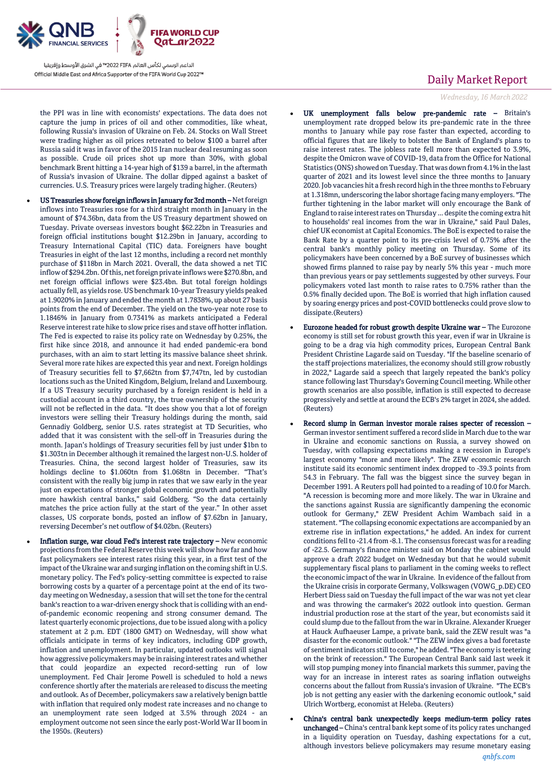

the PPI was in line with economists' expectations. The data does not capture the jump in prices of oil and other commodities, like wheat, following Russia's invasion of Ukraine on Feb. 24. Stocks on Wall Street were trading higher as oil prices retreated to below \$100 a barrel after Russia said it was in favor of the 2015 Iran nuclear deal resuming as soon as possible. Crude oil prices shot up more than 30%, with global benchmark Brent hitting a 14-year high of \$139 a barrel, in the aftermath of Russia's invasion of Ukraine. The dollar dipped against a basket of currencies. U.S. Treasury prices were largely trading higher. (Reuters)

- US Treasuries show foreign inflows in January for 3rd month Net foreign inflows into Treasuries rose for a third straight month in January in the amount of \$74.36bn, data from the US Treasury department showed on Tuesday. Private overseas investors bought \$62.22bn in Treasuries and foreign official institutions bought \$12.29bn in January, according to Treasury International Capital (TIC) data. Foreigners have bought Treasuries in eight of the last 12 months, including a record net monthly purchase of \$118bn in March 2021. Overall, the data showed a net TIC inflow of \$294.2bn. Of this, net foreign private inflows were \$270.8bn, and net foreign official inflows were \$23.4bn. But total foreign holdings actually fell, as yields rose. US benchmark 10-year Treasury yields peaked at 1.9020% in January and ended the month at 1.7838%, up about 27 basis points from the end of December. The yield on the two-year note rose to 1.1846% in January from 0.7341% as markets anticipated a Federal Reserve interest rate hike to slow price rises and stave off hotter inflation. The Fed is expected to raise its policy rate on Wednesday by 0.25%, the first hike since 2018, and announce it had ended pandemic-era bond purchases, with an aim to start letting its massive balance sheet shrink. Several more rate hikes are expected this year and next. Foreign holdings of Treasury securities fell to \$7,662tn from \$7,747tn, led by custodian locations such as the United Kingdom, Belgium, Ireland and Luxembourg. If a US Treasury security purchased by a foreign resident is held in a custodial account in a third country, the true ownership of the security will not be reflected in the data. "It does show you that a lot of foreign investors were selling their Treasury holdings during the month, said Gennadiy Goldberg, senior U.S. rates strategist at TD Securities, who added that it was consistent with the sell-off in Treasuries during the month. Japan's holdings of Treasury securities fell by just under \$1bn to \$1.303tn in December although it remained the largest non-U.S. holder of Treasuries. China, the second largest holder of Treasuries, saw its holdings decline to \$1.060tn from \$1.068tn in December. "That's consistent with the really big jump in rates that we saw early in the year just on expectations of stronger global economic growth and potentially more hawkish central banks," said Goldberg. "So the data certainly matches the price action fully at the start of the year." In other asset classes, US corporate bonds, posted an inflow of \$7.62bn in January, reversing December's net outflow of \$4.02bn. (Reuters)
- Inflation surge, war cloud Fed's interest rate trajectory New economic projections from the Federal Reserve this week will show how far and how fast policymakers see interest rates rising this year, in a first test of the impact of the Ukraine war and surging inflation on the coming shift in U.S. monetary policy. The Fed's policy-setting committee is expected to raise borrowing costs by a quarter of a percentage point at the end of its twoday meeting on Wednesday, a session that will set the tone for the central bank's reaction to a war-driven energy shock that is colliding with an endof-pandemic economic reopening and strong consumer demand. The latest quarterly economic projections, due to be issued along with a policy statement at 2 p.m. EDT (1800 GMT) on Wednesday, will show what officials anticipate in terms of key indicators, including GDP growth, inflation and unemployment. In particular, updated outlooks will signal how aggressive policymakers may be in raising interest rates and whether that could jeopardize an expected record-setting run of low unemployment. Fed Chair Jerome Powell is scheduled to hold a news conference shortly after the materials are released to discuss the meeting and outlook. As of December, policymakers saw a relatively benign battle with inflation that required only modest rate increases and no change to an unemployment rate seen lodged at 3.5% through 2024 - an employment outcome not seen since the early post-World War II boom in the 1950s. (Reuters)

## Daily Market Report

*Wednesday, 16 March2022*

- UK unemployment falls below pre-pandemic rate Britain's unemployment rate dropped below its pre-pandemic rate in the three months to January while pay rose faster than expected, according to official figures that are likely to bolster the Bank of England's plans to raise interest rates. The jobless rate fell more than expected to 3.9%, despite the Omicron wave of COVID-19, data from the Office for National Statistics (ONS) showed on Tuesday. That was down from 4.1% in the last quarter of 2021 and its lowest level since the three months to January 2020. Job vacancies hit a fresh record high in the three months to February at 1.318mn, underscoring the labor shortage facing many employers. "The further tightening in the labor market will only encourage the Bank of England to raise interest rates on Thursday ... despite the coming extra hit to households' real incomes from the war in Ukraine," said Paul Dales, chief UK economist at Capital Economics. The BoE is expected to raise the Bank Rate by a quarter point to its pre-crisis level of 0.75% after the central bank's monthly policy meeting on Thursday. Some of its policymakers have been concerned by a BoE survey of businesses which showed firms planned to raise pay by nearly 5% this year - much more than previous years or pay settlements suggested by other surveys. Four policymakers voted last month to raise rates to 0.75% rather than the 0.5% finally decided upon. The BoE is worried that high inflation caused by soaring energy prices and post-COVID bottlenecks could prove slow to dissipate.(Reuters)
- Eurozone headed for robust growth despite Ukraine war The Eurozone economy is still set for robust growth this year, even if war in Ukraine is going to be a drag via high commodity prices, European Central Bank President Christine Lagarde said on Tuesday. "If the baseline scenario of the staff projections materializes, the economy should still grow robustly in 2022," Lagarde said a speech that largely repeated the bank's policy stance following last Thursday's Governing Council meeting. While other growth scenarios are also possible, inflation is still expected to decrease progressively and settle at around the ECB's 2% target in 2024, she added. (Reuters)
- Record slump in German investor morale raises specter of recession German investor sentiment suffered a record slide in March due to the war in Ukraine and economic sanctions on Russia, a survey showed on Tuesday, with collapsing expectations making a recession in Europe's largest economy "more and more likely". The ZEW economic research institute said its economic sentiment index dropped to -39.3 points from 54.3 in February. The fall was the biggest since the survey began in December 1991. A Reuters poll had pointed to a reading of 10.0 for March. "A recession is becoming more and more likely. The war in Ukraine and the sanctions against Russia are significantly dampening the economic outlook for Germany," ZEW President Achim Wambach said in a statement. "The collapsing economic expectations are accompanied by an extreme rise in inflation expectations," he added. An index for current conditions fell to -21.4 from -8.1. The consensus forecast was for a reading of -22.5. Germany's finance minister said on Monday the cabinet would approve a draft 2022 budget on Wednesday but that he would submit supplementary fiscal plans to parliament in the coming weeks to reflect the economic impact of the war in Ukraine. In evidence of the fallout from the Ukraine crisis in corporate Germany, Volkswagen (VOWG\_p.DE) CEO Herbert Diess said on Tuesday the full impact of the war was not yet clear and was throwing the carmaker's 2022 outlook into question. German industrial production rose at the start of the year, but economists said it could slump due to the fallout from the war in Ukraine. Alexander Krueger at Hauck Aufhaeuser Lampe, a private bank, said the ZEW result was "a disaster for the economic outlook." "The ZEW index gives a bad foretaste of sentiment indicators still to come," he added. "The economy is teetering on the brink of recession." The European Central Bank said last week it will stop pumping money into financial markets this summer, paving the way for an increase in interest rates as soaring inflation outweighs concerns about the fallout from Russia's invasion of Ukraine. "The ECB's job is not getting any easier with the darkening economic outlook," said Ulrich Wortberg, economist at Heleba. (Reuters)
- China's central bank unexpectedly keeps medium-term policy rates unchanged – China's central bank kept some of its policy rates unchanged in a liquidity operation on Tuesday, dashing expectations for a cut, although investors believe policymakers may resume monetary easing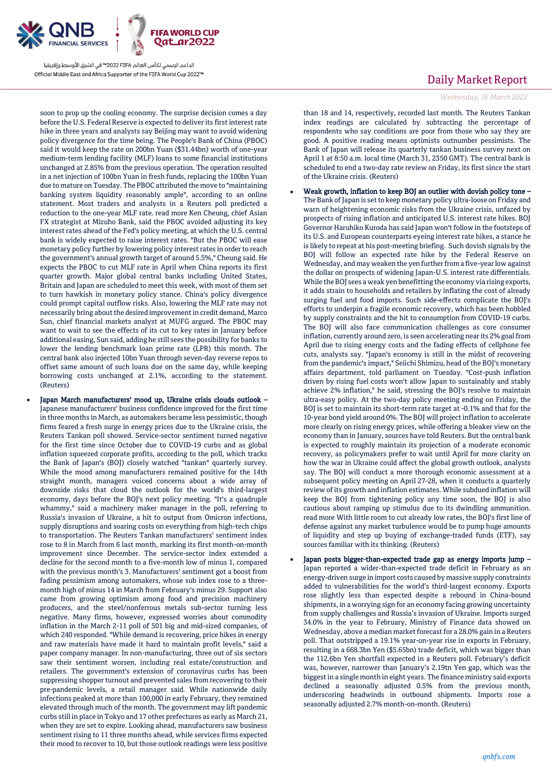

soon to prop up the cooling economy. The surprise decision comes a day before the U.S. Federal Reserve is expected to deliver its first interest rate hike in three years and analysts say Beijing may want to avoid widening policy divergence for the time being. The People's Bank of China (PBOC) said it would keep the rate on 200bn Yuan (\$31.44bn) worth of one-year medium-term lending facility (MLF) loans to some financial institutions unchanged at 2.85% from the previous operation. The operation resulted in a net injection of 100bn Yuan in fresh funds, replacing the 100bn Yuan due to mature on Tuesday. The PBOC attributed the move to "maintaining banking system liquidity reasonably ample", according to an online statement. Most traders and analysts in a Reuters poll predicted a reduction to the one-year MLF rate. read more Ken Cheung, chief Asian FX strategist at Mizuho Bank, said the PBOC avoided adjusting its key interest rates ahead of the Fed's policy meeting, at which the U.S. central bank is widely expected to raise interest rates. "But the PBOC will ease monetary policy further by lowering policy interest rates in order to reach the government's annual growth target of around 5.5%," Cheung said. He expects the PBOC to cut MLF rate in April when China reports its first quarter growth. Major global central banks including United States, Britain and Japan are scheduled to meet this week, with most of them set to turn hawkish in monetary policy stance. China's policy divergence could prompt capital outflow risks. Also, lowering the MLF rate may not necessarily bring about the desired improvement in credit demand, Marco Sun, chief financial markets analyst at MUFG argued. The PBOC may want to wait to see the effects of its cut to key rates in January before additional easing, Sun said, adding he still sees the possibility for banks to lower the lending benchmark loan prime rate (LPR) this month. The central bank also injected 10bn Yuan through seven-day reverse repos to offset same amount of such loans due on the same day, while keeping borrowing costs unchanged at 2.1%, according to the statement. (Reuters)

 Japan March manufacturers' mood up, Ukraine crisis clouds outlook – Japanese manufacturers' business confidence improved for the first time in three months in March, as automakers became less pessimistic, though firms feared a fresh surge in energy prices due to the Ukraine crisis, the Reuters Tankan poll showed. Service-sector sentiment turned negative for the first time since October due to COVID-19 curbs and as global inflation squeezed corporate profits, according to the poll, which tracks the Bank of Japan's (BOJ) closely watched "tankan" quarterly survey. While the mood among manufacturers remained positive for the 14th straight month, managers voiced concerns about a wide array of downside risks that cloud the outlook for the world's third-largest economy, days before the BOJ's next policy meeting. "It's a quadruple whammy," said a machinery maker manager in the poll, referring to Russia's invasion of Ukraine, a hit to output from Omicron infections, supply disruptions and soaring costs on everything from high-tech chips to transportation. The Reuters Tankan manufacturers' sentiment index rose to 8 in March from 6 last month, marking its first month-on-month improvement since December. The service-sector index extended a decline for the second month to a five-month low of minus 1, compared with the previous month's 3. Manufacturers' sentiment got a boost from fading pessimism among automakers, whose sub index rose to a threemonth high of minus 14 in March from February's minus 29. Support also came from growing optimism among food and precision machinery producers, and the steel/nonferrous metals sub-sector turning less negative. Many firms, however, expressed worries about commodity inflation in the March 2-11 poll of 501 big and mid-sized companies, of which 240 responded. "While demand is recovering, price hikes in energy and raw materials have made it hard to maintain profit levels," said a paper company manager. In non-manufacturing, three out of six sectors saw their sentiment worsen, including real estate/construction and retailers. The government's extension of coronavirus curbs has been suppressing shopper turnout and prevented sales from recovering to their pre-pandemic levels, a retail manager said. While nationwide daily infections peaked at more than 100,000 in early February, they remained elevated through much of the month. The government may lift pandemic curbs still in place in Tokyo and 17 other prefectures as early as March 21, when they are set to expire. Looking ahead, manufacturers saw business sentiment rising to 11 three months ahead, while services firms expected their mood to recover to 10, but those outlook readings were less positive

## Daily Market Report

### *Wednesday, 16 March2022*

than 18 and 14, respectively, recorded last month. The Reuters Tankan index readings are calculated by subtracting the percentage of respondents who say conditions are poor from those who say they are good. A positive reading means optimists outnumber pessimists. The Bank of Japan will release its quarterly tankan business survey next on April 1 at 8:50 a.m. local time (March 31, 2350 GMT). The central bank is scheduled to end a two-day rate review on Friday, its first since the start of the Ukraine crisis. (Reuters)

- Weak growth, inflation to keep BOJ an outlier with dovish policy tone The Bank of Japan is set to keep monetary policy ultra-loose on Friday and warn of heightening economic risks from the Ukraine crisis, unfazed by prospects of rising inflation and anticipated U.S. interest rate hikes. BOJ Governor Haruhiko Kuroda has said Japan won't follow in the footsteps of its U.S. and European counterparts eyeing interest rate hikes, a stance he is likely to repeat at his post-meeting briefing. Such dovish signals by the BOJ will follow an expected rate hike by the Federal Reserve on Wednesday, and may weaken the yen further from a five-year low against the dollar on prospects of widening Japan-U.S. interest rate differentials. While the BOI sees a weak yen benefitting the economy via rising exports, it adds strain to households and retailers by inflating the cost of already surging fuel and food imports. Such side-effects complicate the BOJ's efforts to underpin a fragile economic recovery, which has been hobbled by supply constraints and the hit to consumption from COVID-19 curbs. The BOJ will also face communication challenges as core consumer inflation, currently around zero, is seen accelerating near its 2% goal from April due to rising energy costs and the fading effects of cellphone fee cuts, analysts say. "Japan's economy is still in the midst of recovering from the pandemic's impact," Seiichi Shimizu, head of the BOJ's monetary affairs department, told parliament on Tuesday. "Cost-push inflation driven by rising fuel costs won't allow Japan to sustainably and stably achieve 2% inflation," he said, stressing the BOJ's resolve to maintain ultra-easy policy. At the two-day policy meeting ending on Friday, the BOJ is set to maintain its short-term rate target at -0.1% and that for the 10-year bond yield around 0%. The BOJ will project inflation to accelerate more clearly on rising energy prices, while offering a bleaker view on the economy than in January, sources have told Reuters. But the central bank is expected to roughly maintain its projection of a moderate economic recovery, as policymakers prefer to wait until April for more clarity on how the war in Ukraine could affect the global growth outlook, analysts say. The BOJ will conduct a more thorough economic assessment at a subsequent policy meeting on April 27-28, when it conducts a quarterly review of its growth and inflation estimates. While subdued inflation will keep the BOJ from tightening policy any time soon, the BOJ is also cautious about ramping up stimulus due to its dwindling ammunition. read more With little room to cut already low rates, the BOJ's first line of defense against any market turbulence would be to pump huge amounts of liquidity and step up buying of exchange-traded funds (ETF), say sources familiar with its thinking. (Reuters)
- Japan posts bigger-than-expected trade gap as energy imports jump Japan reported a wider-than-expected trade deficit in February as an energy-driven surge in import costs caused by massive supply constraints added to vulnerabilities for the world's third-largest economy. Exports rose slightly less than expected despite a rebound in China-bound shipments, in a worrying sign for an economy facing growing uncertainty from supply challenges and Russia's invasion of Ukraine. Imports surged 34.0% in the year to February, Ministry of Finance data showed on Wednesday, above a median market forecast for a 28.0% gain in a Reuters poll. That outstripped a 19.1% year-on-year rise in exports in February, resulting in a 668.3bn Yen (\$5.65bn) trade deficit, which was bigger than the 112.6bn Yen shortfall expected in a Reuters poll. February's deficit was, however, narrower than January's 2.19tn Yen gap, which was the biggest in a single month in eight years. The finance ministry said exports declined a seasonally adjusted 0.5% from the previous month, underscoring headwinds in outbound shipments. Imports rose a seasonally adjusted 2.7% month-on-month. (Reuters)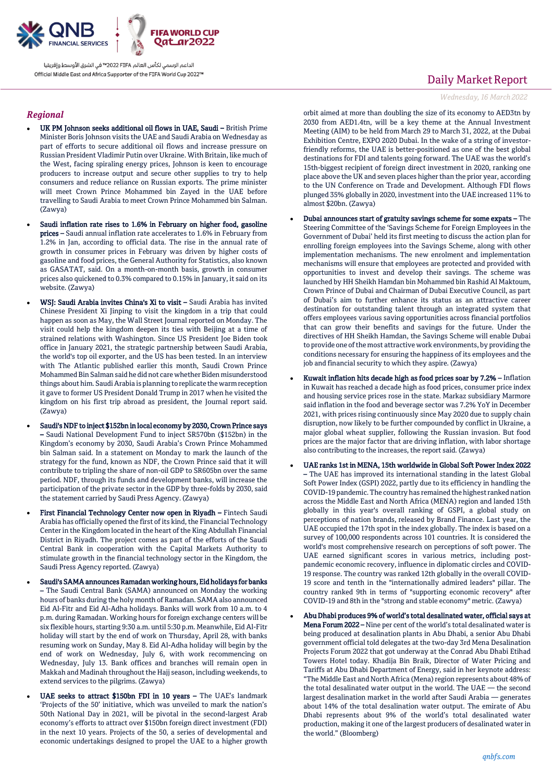

### *Regional*

- UK PM Johnson seeks additional oil flows in UAE, Saudi British Prime Minister Boris Johnson visits the UAE and Saudi Arabia on Wednesday as part of efforts to secure additional oil flows and increase pressure on Russian President Vladimir Putin over Ukraine. With Britain, like much of the West, facing spiraling energy prices, Johnson is keen to encourage producers to increase output and secure other supplies to try to help consumers and reduce reliance on Russian exports. The prime minister will meet Crown Prince Mohammed bin Zayed in the UAE before travelling to Saudi Arabia to meet Crown Prince Mohammed bin Salman. (Zawya)
- Saudi inflation rate rises to 1.6% in February on higher food, gasoline prices – Saudi annual inflation rate accelerates to 1.6% in February from 1.2% in Jan, according to official data. The rise in the annual rate of growth in consumer prices in February was driven by higher costs of gasoline and food prices, the General Authority for Statistics, also known as GASATAT, said. On a month-on-month basis, growth in consumer prices also quickened to 0.3% compared to 0.15% in January, it said on its website. (Zawya)
- WSJ: Saudi Arabia invites China's Xi to visit Saudi Arabia has invited Chinese President Xi Jinping to visit the kingdom in a trip that could happen as soon as May, the Wall Street Journal reported on Monday. The visit could help the kingdom deepen its ties with Beijing at a time of strained relations with Washington. Since US President Joe Biden took office in January 2021, the strategic partnership between Saudi Arabia, the world's top oil exporter, and the US has been tested. In an interview with The Atlantic published earlier this month, Saudi Crown Prince Mohammed Bin Salman said he did not care whether Biden misunderstood things about him. Saudi Arabia is planning to replicate the warm reception it gave to former US President Donald Trump in 2017 when he visited the kingdom on his first trip abroad as president, the Journal report said. (Zawya)
- Saudi's NDF to inject \$152bn in local economy by 2030, Crown Prince says – Saudi National Development Fund to inject SR570bn (\$152bn) in the Kingdom's economy by 2030, Saudi Arabia's Crown Prince Mohammed bin Salman said. In a statement on Monday to mark the launch of the strategy for the fund, known as NDF, the Crown Prince said that it will contribute to tripling the share of non-oil GDP to SR605bn over the same period. NDF, through its funds and development banks, will increase the participation of the private sector in the GDP by three-folds by 2030, said the statement carried by Saudi Press Agency. (Zawya)
- First Financial Technology Center now open in Riyadh Fintech Saudi Arabia has officially opened the first of its kind, the Financial Technology Center in the Kingdom located in the heart of the King Abdullah Financial District in Riyadh. The project comes as part of the efforts of the Saudi Central Bank in cooperation with the Capital Markets Authority to stimulate growth in the financial technology sector in the Kingdom, the Saudi Press Agency reported. (Zawya)
- Saudi's SAMA announces Ramadan working hours, Eid holidays for banks – The Saudi Central Bank (SAMA) announced on Monday the working hours of banks during the holy month of Ramadan. SAMA also announced Eid Al-Fitr and Eid Al-Adha holidays. Banks will work from 10 a.m. to 4 p.m. during Ramadan. Working hours for foreign exchange centers will be six flexible hours, starting 9:30 a.m. until 5:30 p.m. Meanwhile, Eid Al-Fitr holiday will start by the end of work on Thursday, April 28, with banks resuming work on Sunday, May 8. Eid Al-Adha holiday will begin by the end of work on Wednesday, July 6, with work recommencing on Wednesday, July 13. Bank offices and branches will remain open in Makkah and Madinah throughout the Hajj season, including weekends, to extend services to the pilgrims. (Zawya)
- UAE seeks to attract \$150bn FDI in 10 years The UAE's landmark 'Projects of the 50' initiative, which was unveiled to mark the nation's 50th National Day in 2021, will be pivotal in the second-largest Arab economy's efforts to attract over \$150bn foreign direct investment (FDI) in the next 10 years. Projects of the 50, a series of developmental and economic undertakings designed to propel the UAE to a higher growth

# Daily Market Report

*Wednesday, 16 March2022*

orbit aimed at more than doubling the size of its economy to AED3tn by 2030 from AED1.4tn, will be a key theme at the Annual Investment Meeting (AIM) to be held from March 29 to March 31, 2022, at the Dubai Exhibition Centre, EXPO 2020 Dubai. In the wake of a string of investorfriendly reforms, the UAE is better-positioned as one of the best global destinations for FDI and talents going forward. The UAE was the world's 15th-biggest recipient of foreign direct investment in 2020, ranking one place above the UK and seven places higher than the prior year, according to the UN Conference on Trade and Development. Although FDI flows plunged 35% globally in 2020, investment into the UAE increased 11% to almost \$20bn. (Zawya)

- Dubai announces start of gratuity savings scheme for some expats The Steering Committee of the 'Savings Scheme for Foreign Employees in the Government of Dubai' held its first meeting to discuss the action plan for enrolling foreign employees into the Savings Scheme, along with other implementation mechanisms. The new enrolment and implementation mechanisms will ensure that employees are protected and provided with opportunities to invest and develop their savings. The scheme was launched by HH Sheikh Hamdan bin Mohammed bin Rashid Al Maktoum, Crown Prince of Dubai and Chairman of Dubai Executive Council, as part of Dubai's aim to further enhance its status as an attractive career destination for outstanding talent through an integrated system that offers employees various saving opportunities across financial portfolios that can grow their benefits and savings for the future. Under the directives of HH Sheikh Hamdan, the Savings Scheme will enable Dubai to provide one of the most attractive work environments, by providing the conditions necessary for ensuring the happiness of its employees and the job and financial security to which they aspire. (Zawya)
- Kuwait inflation hits decade high as food prices soar by 7.2% Inflation in Kuwait has reached a decade high as food prices, consumer price index and housing service prices rose in the state. Markaz subsidiary Marmore said inflation in the food and beverage sector was 7.2% YoY in December 2021, with prices rising continuously since May 2020 due to supply chain disruption, now likely to be further compounded by conflict in Ukraine, a major global wheat supplier, following the Russian invasion. But food prices are the major factor that are driving inflation, with labor shortage also contributing to the increases, the report said. (Zawya)
- UAE ranks 1st in MENA, 15th worldwide in Global Soft Power Index 2022 – The UAE has improved its international standing in the latest Global Soft Power Index (GSPI) 2022, partly due to its efficiency in handling the COVID-19 pandemic. The country has remained the highest ranked nation across the Middle East and North Africa (MENA) region and landed 15th globally in this year's overall ranking of GSPI, a global study on perceptions of nation brands, released by Brand Finance. Last year, the UAE occupied the 17th spot in the index globally. The index is based on a survey of 100,000 respondents across 101 countries. It is considered the world's most comprehensive research on perceptions of soft power. The UAE earned significant scores in various metrics, including postpandemic economic recovery, influence in diplomatic circles and COVID-19 response. The country was ranked 12th globally in the overall COVID-19 score and tenth in the "internationally admired leaders" pillar. The country ranked 9th in terms of "supporting economic recovery" after COVID-19 and 8th in the "strong and stable economy" metric. (Zawya)
- Abu Dhabi produces 9% of world's total desalinated water, official says at Mena Forum 2022 – Nine per cent of the world's total desalinated water is being produced at desalination plants in Abu Dhabi, a senior Abu Dhabi government official told delegates at the two-day 3rd Mena Desalination Projects Forum 2022 that got underway at the Conrad Abu Dhabi Etihad Towers Hotel today. Khadija Bin Braik, Director of Water Pricing and Tariffs at Abu Dhabi Department of Energy, said in her keynote address: "The Middle East and North Africa (Mena) region represents about 48% of the total desalinated water output in the world. The UAE — the second largest desalination market in the world after Saudi Arabia — generates about 14% of the total desalination water output. The emirate of Abu Dhabi represents about 9% of the world's total desalinated water production, making it one of the largest producers of desalinated water in the world." (Bloomberg)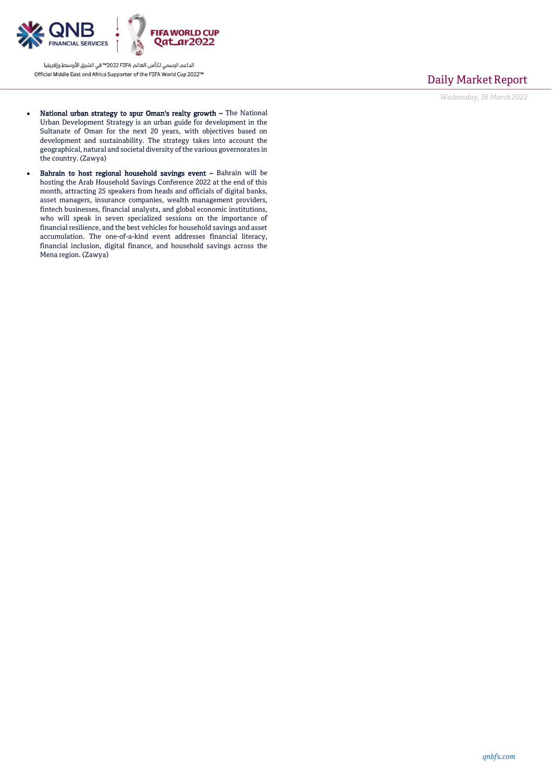

## Daily Market Report

*Wednesday, 16 March2022*

- National urban strategy to spur Oman's realty growth The National Urban Development Strategy is an urban guide for development in the Sultanate of Oman for the next 20 years, with objectives based on development and sustainability. The strategy takes into account the geographical, natural and societal diversity of the various governorates in the country. (Zawya)
- Bahrain to host regional household savings event Bahrain will be hosting the Arab Household Savings Conference 2022 at the end of this month, attracting 25 speakers from heads and officials of digital banks, asset managers, insurance companies, wealth management providers, fintech businesses, financial analysts, and global economic institutions, who will speak in seven specialized sessions on the importance of financial resilience, and the best vehicles for household savings and asset accumulation. The one-of-a-kind event addresses financial literacy, financial inclusion, digital finance, and household savings across the Mena region. (Zawya)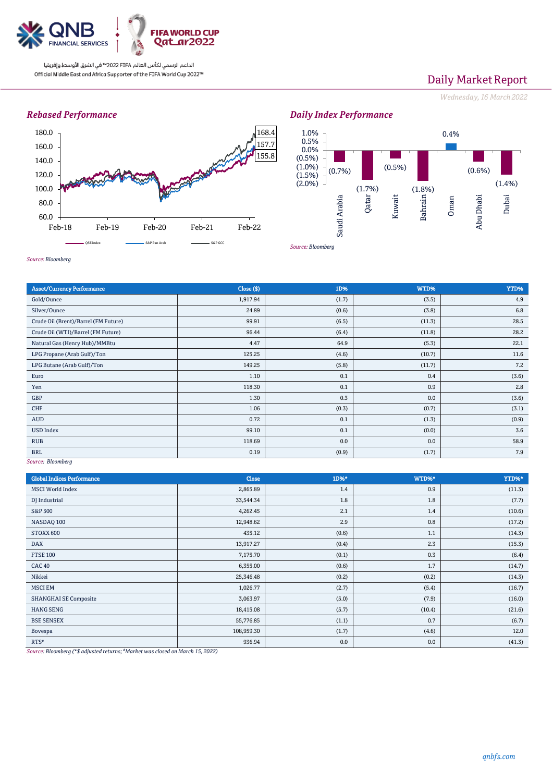

# Daily Market Report

*Wednesday, 16 March2022*

## *Rebased Performance*



*Daily Index Performance*



*Source: Bloomberg*

| <b>Asset/Currency Performance</b>    | Close ( \$) | 1D%   | WTD%   | YTD%  |  |  |  |
|--------------------------------------|-------------|-------|--------|-------|--|--|--|
| Gold/Ounce                           | 1,917.94    | (1.7) | (3.5)  | 4.9   |  |  |  |
| Silver/Ounce                         | 24.89       | (0.6) | (3.8)  | 6.8   |  |  |  |
| Crude Oil (Brent)/Barrel (FM Future) | 99.91       | (6.5) | (11.3) | 28.5  |  |  |  |
| Crude Oil (WTI)/Barrel (FM Future)   | 96.44       | (6.4) | (11.8) | 28.2  |  |  |  |
| Natural Gas (Henry Hub)/MMBtu        | 4.47        | 64.9  | (5.3)  | 22.1  |  |  |  |
| LPG Propane (Arab Gulf)/Ton          | 125.25      | (4.6) | (10.7) | 11.6  |  |  |  |
| LPG Butane (Arab Gulf)/Ton           | 149.25      | (5.8) | (11.7) | 7.2   |  |  |  |
| Euro                                 | 1.10        | 0.1   | 0.4    | (3.6) |  |  |  |
| Yen                                  | 118.30      | 0.1   | 0.9    | 2.8   |  |  |  |
| GBP                                  | 1.30        | 0.3   | 0.0    | (3.6) |  |  |  |
| CHF                                  | 1.06        | (0.3) | (0.7)  | (3.1) |  |  |  |
| AUD                                  | 0.72        | 0.1   | (1.3)  | (0.9) |  |  |  |
| <b>USD Index</b>                     | 99.10       | 0.1   | (0.0)  | 3.6   |  |  |  |
| <b>RUB</b>                           | 118.69      | 0.0   | 0.0    | 58.9  |  |  |  |
| <b>BRL</b>                           | 0.19        | (0.9) | (1.7)  | 7.9   |  |  |  |
| $COMPROO$ , $Dhomhora$               |             |       |        |       |  |  |  |

*Source: Bloomberg*

| <b>Global Indices Performance</b>                                                                                                                                                                                                                                                     | Close       | 1D%*  | WTD%*  | YTD%*  |
|---------------------------------------------------------------------------------------------------------------------------------------------------------------------------------------------------------------------------------------------------------------------------------------|-------------|-------|--------|--------|
| <b>MSCI World Index</b>                                                                                                                                                                                                                                                               | 2,865.89    | 1.4   | 0.9    | (11.3) |
| DJ Industrial                                                                                                                                                                                                                                                                         | 33,544.34   | 1.8   | 1.8    | (7.7)  |
| S&P 500                                                                                                                                                                                                                                                                               | 4,262.45    | 2.1   | 1.4    | (10.6) |
| NASDAQ 100                                                                                                                                                                                                                                                                            | 12,948.62   | 2.9   | 0.8    | (17.2) |
| STOXX 600                                                                                                                                                                                                                                                                             | 435.12      | (0.6) | 1.1    | (14.3) |
| <b>DAX</b>                                                                                                                                                                                                                                                                            | 13,917.27   | (0.4) | 2.3    | (15.3) |
| <b>FTSE 100</b>                                                                                                                                                                                                                                                                       | 7,175.70    | (0.1) | 0.3    | (6.4)  |
| <b>CAC 40</b>                                                                                                                                                                                                                                                                         | 6,355.00    | (0.6) | 1.7    | (14.7) |
| Nikkei                                                                                                                                                                                                                                                                                | 25,346.48   | (0.2) | (0.2)  | (14.3) |
| <b>MSCI EM</b>                                                                                                                                                                                                                                                                        | 1,026.77    | (2.7) | (5.4)  | (16.7) |
| <b>SHANGHAI SE Composite</b>                                                                                                                                                                                                                                                          | 3,063.97    | (5.0) | (7.9)  | (16.0) |
| <b>HANG SENG</b>                                                                                                                                                                                                                                                                      | 18,415.08   | (5.7) | (10.4) | (21.6) |
| <b>BSE SENSEX</b>                                                                                                                                                                                                                                                                     | 55,776.85   | (1.1) | 0.7    | (6.7)  |
| Bovespa                                                                                                                                                                                                                                                                               | 108,959.30  | (1.7) | (4.6)  | 12.0   |
| $RTS^*$<br>the company of the company of the company of the company of the company of the company of the company of the company of the company of the company of the company of the company of the company of the company of the company<br><b>Service Contract Contract Contract</b> | 936.94<br>. | 0.0   | 0.0    | (41.3) |

*Source: Bloomberg (\*\$ adjusted returns; #Market was closed on March 15, 2022)*